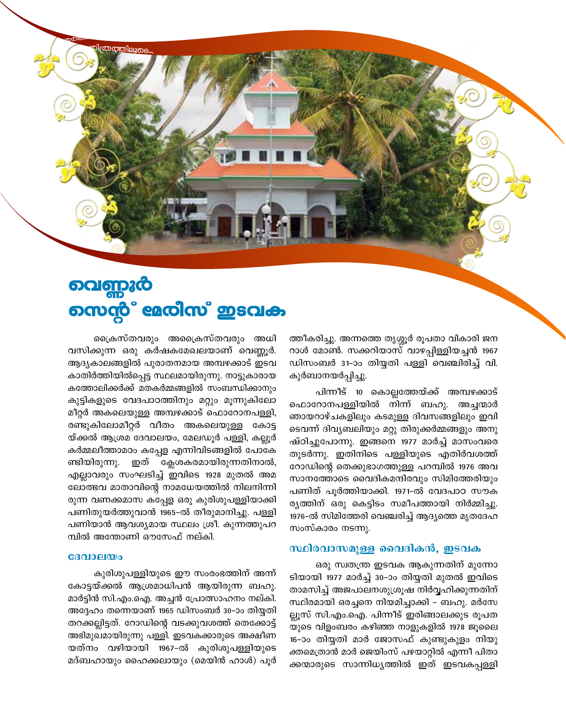

ത്രത്തിലൂടെ

ത്തീകരിച്ചു. അന്നത്തെ തൃശ്ശൂർ രൂപതാ വികാരി ജന റാൾ മോൺ. സക്കറിയാസ് വാഴപ്പിള്ളിയച്ചൻ 1967 ഡിസംബർ 31-ാം തിയ്യതി പള്ളി വെഞ്ചിരിച്ച് വി. കുർബാനയർപ്പിച്ചു.

പിന്നീട് 10 കൊല്ലത്തേയ്ക്ക് അമ്പഴക്കാട് ഫൊറോനപള്ളിയിൽ നിന്ന് ബഹു. അച്ചന്മാർ ഞായറാഴ്ചകളിലും കടമുള്ള ദിവസങ്ങളിലും ഇവി ടെവന്ന് ദിവ്യബലിയും മറ്റു തിരുക്കർമ്മങ്ങളും അനു ഷ്ഠിച്ചുപോന്നു. ഇങ്ങനെ 1977 മാർച്ച് മാസംവരെ തുടർന്നു. ഇതിനിടെ പള്ളിയുടെ എതിർവശത്ത് റോഡിന്റെ തെക്കുഭാഗത്തുള്ള പറമ്പിൽ 1976 അവ സാനത്തോടെ വൈദികമന്ദിരവും സിമിത്തേരിയും പണിത് പൂർത്തിയാക്കി. 1971-ൽ വേദപാഠ സൗക രൃത്തിന് ഒരു കെട്ടിടം സമീപത്തായി നിർമ്മിച്ചു. 1976-ൽ സിമിത്തേരി വെഞ്ചരിച്ച് ആദ്യത്തെ മൃതദേഹ സംസ്കാരം നടന്നു.

## സ്ഥിരവാസമുള്ള വൈദികൻ, ഇടവക

ഒരു സ്വതന്ത്ര ഇടവക ആകുന്നതിന് മുന്നോ ടിയായി 1977 മാർച്ച് 30-ാം തിയ്യതി മുതൽ ഇവിടെ താമസിച്ച് അജപാലനശുശ്രൂഷ നിർവ്വഹിക്കുന്നതിന് സ്ഥിരമായി ഒരച്ചനെ നിയമിച്ചാക്കി – ബഹു. മർസേ ല്ലൂസ് സി.എം.ഐ. പിന്നീട് ഇരിങ്ങാലക്കുട രൂപത യുടെ വിളംബരം കഴിഞ്ഞ നാളുകളിൽ 1978 ജൂലൈ 16-ാം തിയ്യതി മാർ ജോസഫ് കുണ്ടുകുളം നിയു ക്തമെത്രാൻ മാർ ജെയിംസ് പഴയാറ്റിൽ എന്നീ പിതാ ക്കന്മാരുടെ സാന്നിധ്യത്തിൽ ഇത് ഇടവകപ്പള്ളി

ക്രൈസ്തവരും അപ്രൈസ്തവരും അധി വസിക്കുന്ന ഒരു കർഷകമേഖലയാണ് വെണ്ണൂർ. ആദ്യകാലങ്ങളിൽ പുരാതനമായ അമ്പഴക്കാട് ഇടവ കാതിർത്തിയിൽപ്പെട്ട സ്ഥലമായിരുന്നു. നാട്ടുകാരായ കത്തോലിക്കർക്ക് മതകർമ്മങ്ങളിൽ സംബന്ധിക്കാനും കുട്ടികളുടെ വേദപാഠത്തിനും മറ്റും മൂന്നുകിലോ മീറ്റർ അകലെയുള്ള അമ്പഴക്കാട് ഫൊറോനപള്ളി, രണ്ടുകിലോമീറ്റർ വീതം അകലെയുള്ള കോട്ട യ്ക്കൽ ആശ്രമ ദേവാലയം, മേലഡൂർ പള്ളി, കല്ലൂർ കർമ്മലീത്താമഠം കപ്പേള എന്നിവിടങ്ങളിൽ പോകേ ണ്ടിയിരുന്നു. ഇത് ക്ലേശകരമായിരുന്നതിനാൽ, എല്ലാവരും സംഘടിച്ച് ഇവിടെ 1928 മുതൽ അമ ലോത്ഭവ മാതാവിന്റെ നാമധേയത്തിൽ നിലനിന്നി രുന്ന വണക്കമാസ കപ്പേള ഒരു കുരിശുപള്ളിയാക്കി പണിതുയർത്തുവാൻ 1965-ൽ തീരുമാനിച്ചു. പള്ളി പണിയാൻ ആവശ്യമായ സ്ഥലം ശ്രീ. കുന്നത്തുപറ മ്പിൽ അന്തോണി ഔസേഫ് നല്കി.

## ദേവാലയം

കുരിശുപള്ളിയുടെ ഈ സംരംഭത്തിന് അന്ന് കോട്ടയ്ക്കൽ ആശ്രമാധിപൻ ആയിരുന്ന ബഹു. മാർട്ടിൻ സി.എം.ഐ. അച്ചൻ പ്രോത്സാഹനം നല്കി. അദ്ദേഹം തന്നെയാണ് 1965 ഡിസംബർ 30–ാം തിയ്യതി തറക്കല്ലിട്ടത്. റോഡിന്റെ വടക്കുവശത്ത് തെക്കോട്ട് അഭിമുഖമായിരുന്നു പള്ളി. ഇടവകക്കാരുടെ അക്ഷീണ യത്നം വഴിയായി 1967-ൽ കുരിശുപള്ളിയുടെ മദ്ബഹായും ഹൈക്കലായും (മെയിൻ ഹാൾ) പൂർ